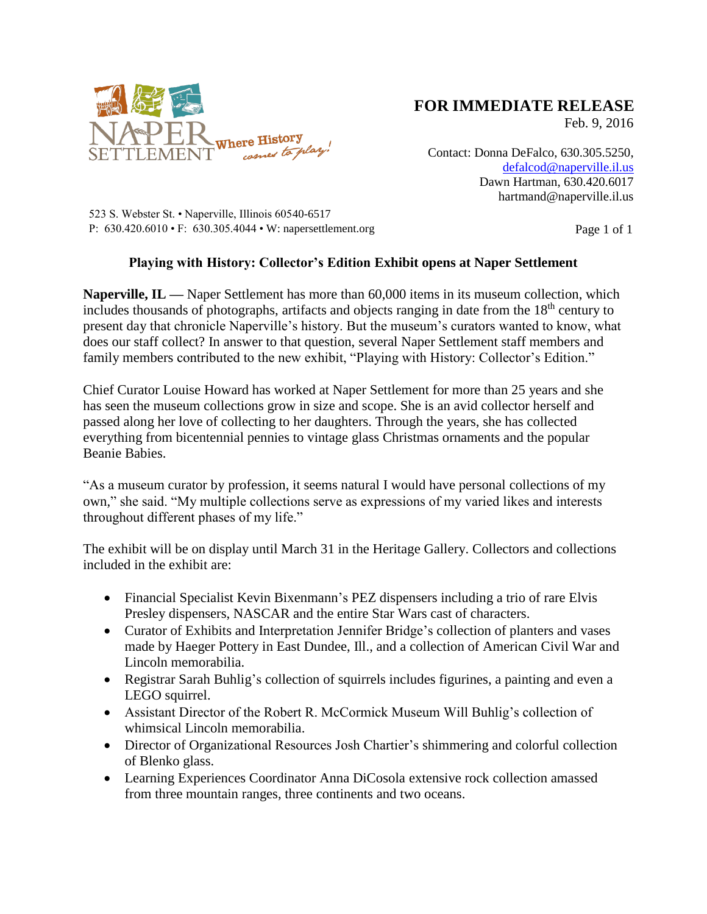

## **FOR IMMEDIATE RELEASE**

Feb. 9, 2016

Contact: Donna DeFalco, 630.305.5250, [defalcod@naperville.il.us](mailto:defalcod@naperville.il.us) Dawn Hartman, 630.420.6017 hartmand@naperville.il.us

523 S. Webster St. • Naperville, Illinois 60540-6517 P:  $630.420.6010 \cdot F$ :  $630.305.4044 \cdot W$ : napersettlement.org Page 1 of 1

## **Playing with History: Collector's Edition Exhibit opens at Naper Settlement**

**Naperville, IL —** Naper Settlement has more than 60,000 items in its museum collection, which includes thousands of photographs, artifacts and objects ranging in date from the  $18<sup>th</sup>$  century to present day that chronicle Naperville's history. But the museum's curators wanted to know, what does our staff collect? In answer to that question, several Naper Settlement staff members and family members contributed to the new exhibit, "Playing with History: Collector's Edition."

Chief Curator Louise Howard has worked at Naper Settlement for more than 25 years and she has seen the museum collections grow in size and scope. She is an avid collector herself and passed along her love of collecting to her daughters. Through the years, she has collected everything from bicentennial pennies to vintage glass Christmas ornaments and the popular Beanie Babies.

"As a museum curator by profession, it seems natural I would have personal collections of my own," she said. "My multiple collections serve as expressions of my varied likes and interests throughout different phases of my life."

The exhibit will be on display until March 31 in the Heritage Gallery. Collectors and collections included in the exhibit are:

- Financial Specialist Kevin Bixenmann's PEZ dispensers including a trio of rare Elvis Presley dispensers, NASCAR and the entire Star Wars cast of characters.
- Curator of Exhibits and Interpretation Jennifer Bridge's collection of planters and vases made by Haeger Pottery in East Dundee, Ill., and a collection of American Civil War and Lincoln memorabilia.
- Registrar Sarah Buhlig's collection of squirrels includes figurines, a painting and even a LEGO squirrel.
- Assistant Director of the Robert R. McCormick Museum Will Buhlig's collection of whimsical Lincoln memorabilia.
- Director of Organizational Resources Josh Chartier's shimmering and colorful collection of Blenko glass.
- Learning Experiences Coordinator Anna DiCosola extensive rock collection amassed from three mountain ranges, three continents and two oceans.